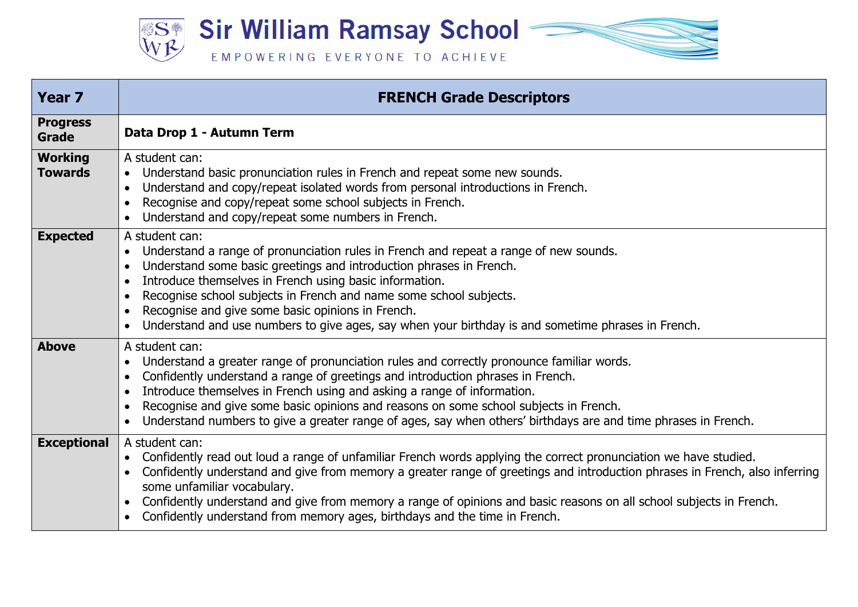

| <b>Year 7</b>                    | <b>FRENCH Grade Descriptors</b>                                                                                                                                                                                                                                                                                                                                                                                                                                                                                    |
|----------------------------------|--------------------------------------------------------------------------------------------------------------------------------------------------------------------------------------------------------------------------------------------------------------------------------------------------------------------------------------------------------------------------------------------------------------------------------------------------------------------------------------------------------------------|
| <b>Progress</b><br>Grade         | Data Drop 1 - Autumn Term                                                                                                                                                                                                                                                                                                                                                                                                                                                                                          |
| <b>Working</b><br><b>Towards</b> | A student can:<br>Understand basic pronunciation rules in French and repeat some new sounds.<br>Understand and copy/repeat isolated words from personal introductions in French.<br>$\bullet$<br>Recognise and copy/repeat some school subjects in French.<br>Understand and copy/repeat some numbers in French.                                                                                                                                                                                                   |
| <b>Expected</b>                  | A student can:<br>Understand a range of pronunciation rules in French and repeat a range of new sounds.<br>Understand some basic greetings and introduction phrases in French.<br>Introduce themselves in French using basic information.<br>Recognise school subjects in French and name some school subjects.<br>Recognise and give some basic opinions in French.<br>Understand and use numbers to give ages, say when your birthday is and sometime phrases in French.                                         |
| <b>Above</b>                     | A student can:<br>Understand a greater range of pronunciation rules and correctly pronounce familiar words.<br>Confidently understand a range of greetings and introduction phrases in French.<br>Introduce themselves in French using and asking a range of information.<br>Recognise and give some basic opinions and reasons on some school subjects in French.<br>Understand numbers to give a greater range of ages, say when others' birthdays are and time phrases in French.                               |
| <b>Exceptional</b>               | A student can:<br>Confidently read out loud a range of unfamiliar French words applying the correct pronunciation we have studied.<br>$\bullet$<br>Confidently understand and give from memory a greater range of greetings and introduction phrases in French, also inferring<br>some unfamiliar vocabulary.<br>Confidently understand and give from memory a range of opinions and basic reasons on all school subjects in French.<br>Confidently understand from memory ages, birthdays and the time in French. |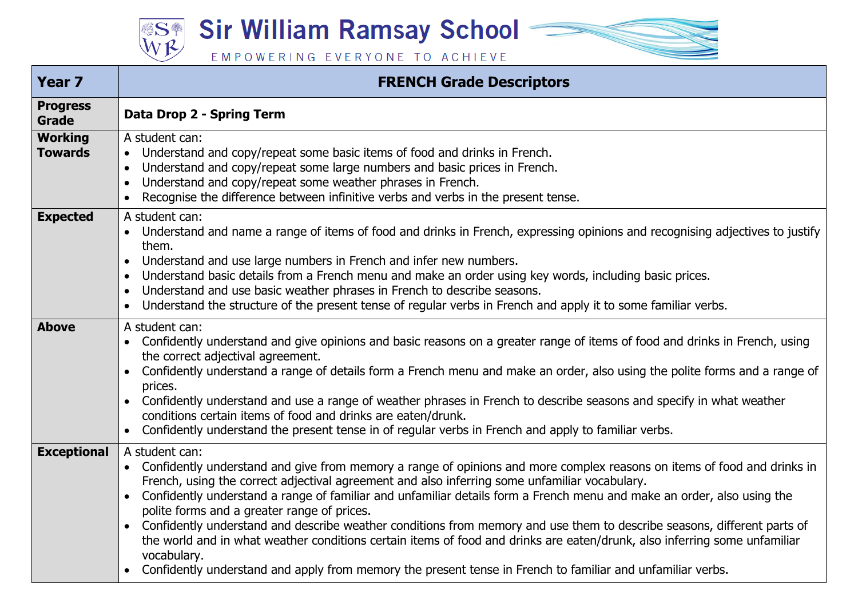**Sir William Ramsay School – SSA** 

EMPOWERING EVERYONE TO ACHIEVE

| <b>Year 7</b>                    | <b>FRENCH Grade Descriptors</b>                                                                                                                                                                                                                                                                                                                                                                                                                                                                                                                                                                                                                                                                                                                                                                                                                 |
|----------------------------------|-------------------------------------------------------------------------------------------------------------------------------------------------------------------------------------------------------------------------------------------------------------------------------------------------------------------------------------------------------------------------------------------------------------------------------------------------------------------------------------------------------------------------------------------------------------------------------------------------------------------------------------------------------------------------------------------------------------------------------------------------------------------------------------------------------------------------------------------------|
| <b>Progress</b><br><b>Grade</b>  | Data Drop 2 - Spring Term                                                                                                                                                                                                                                                                                                                                                                                                                                                                                                                                                                                                                                                                                                                                                                                                                       |
| <b>Working</b><br><b>Towards</b> | A student can:<br>Understand and copy/repeat some basic items of food and drinks in French.<br>$\bullet$<br>Understand and copy/repeat some large numbers and basic prices in French.<br>$\bullet$<br>Understand and copy/repeat some weather phrases in French.<br>$\bullet$<br>Recognise the difference between infinitive verbs and verbs in the present tense.<br>$\bullet$                                                                                                                                                                                                                                                                                                                                                                                                                                                                 |
| <b>Expected</b>                  | A student can:<br>Understand and name a range of items of food and drinks in French, expressing opinions and recognising adjectives to justify<br>them.<br>Understand and use large numbers in French and infer new numbers.<br>$\bullet$<br>Understand basic details from a French menu and make an order using key words, including basic prices.<br>$\bullet$<br>Understand and use basic weather phrases in French to describe seasons.<br>$\bullet$<br>Understand the structure of the present tense of regular verbs in French and apply it to some familiar verbs.<br>$\bullet$                                                                                                                                                                                                                                                          |
| <b>Above</b>                     | A student can:<br>Confidently understand and give opinions and basic reasons on a greater range of items of food and drinks in French, using<br>the correct adjectival agreement.<br>Confidently understand a range of details form a French menu and make an order, also using the polite forms and a range of<br>$\bullet$<br>prices.<br>Confidently understand and use a range of weather phrases in French to describe seasons and specify in what weather<br>$\bullet$<br>conditions certain items of food and drinks are eaten/drunk.<br>Confidently understand the present tense in of regular verbs in French and apply to familiar verbs.<br>$\bullet$                                                                                                                                                                                 |
| <b>Exceptional</b>               | A student can:<br>Confidently understand and give from memory a range of opinions and more complex reasons on items of food and drinks in<br>French, using the correct adjectival agreement and also inferring some unfamiliar vocabulary.<br>Confidently understand a range of familiar and unfamiliar details form a French menu and make an order, also using the<br>$\bullet$<br>polite forms and a greater range of prices.<br>Confidently understand and describe weather conditions from memory and use them to describe seasons, different parts of<br>$\bullet$<br>the world and in what weather conditions certain items of food and drinks are eaten/drunk, also inferring some unfamiliar<br>vocabulary.<br>Confidently understand and apply from memory the present tense in French to familiar and unfamiliar verbs.<br>$\bullet$ |